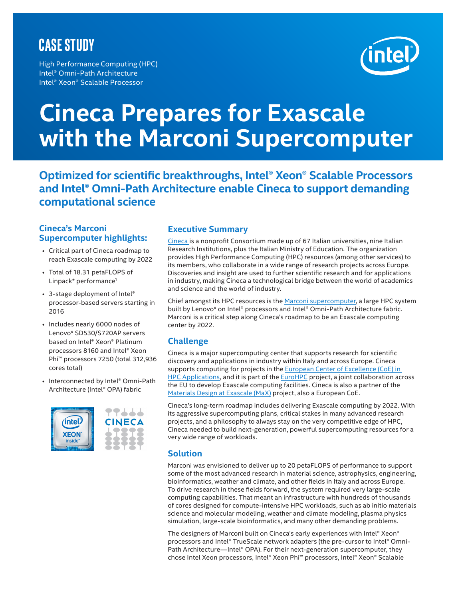# **CASE STUDY**

High Performance Computing (HPC) Intel® Omni-Path Architecture Intel® Xeon® Scalable Processor



# **Cineca Prepares for Exascale with the Marconi Supercomputer**

**Optimized for scientific breakthroughs, Intel® Xeon® Scalable Processors and Intel® Omni-Path Architecture enable Cineca to support demanding computational science**

#### **Cineca's Marconi Supercomputer highlights:**

- Critical part of Cineca roadmap to reach Exascale computing by 2022
- Total of 18.31 petaFLOPS of Linpack\* performance<sup>1</sup>
- 3-stage deployment of Intel® processor-based servers starting in 2016
- Includes nearly 6000 nodes of Lenovo\* SD530/S720AP servers based on Intel® Xeon® Platinum processors 8160 and Intel® Xeon Phi™ processors 7250 (total 312,936 cores total)
- Interconnected by Intel® Omni-Path Architecture (Intel® OPA) fabric



# **Executive Summary**

[Cineca](https://www.cineca.it/en) is a nonprofit Consortium made up of 67 Italian universities, nine Italian Research Institutions, plus the Italian Ministry of Education. The organization provides High Performance Computing (HPC) resources (among other services) to its members, who collaborate in a wide range of research projects across Europe. Discoveries and insight are used to further scientific research and for applications in industry, making Cineca a technological bridge between the world of academics and science and the world of industry.

Chief amongst its HPC resources is the [Marconi supercomputer,](http://www.hpc.cineca.it/content/hardware) a large HPC system built by Lenovo\* on Intel® processors and Intel® Omni-Path Architecture fabric. Marconi is a critical step along Cineca's roadmap to be an Exascale computing center by 2022.

# **Challenge**

Cineca is a major supercomputing center that supports research for scientific discovery and applications in industry within Italy and across Europe. Cineca supports computing for projects in the European Center of Excellence (CoE) in [HPC Applications](https://exdci.eu/collaboration/coe), and it is part of the **EuroHPC** project, a joint collaboration across the EU to develop Exascale computing facilities. Cineca is also a partner of the [Materials Design at Exascale \(MaX\)](http://www.max-centre.eu/) project, also a European CoE.

Cineca's long-term roadmap includes delivering Exascale computing by 2022. With its aggressive supercomputing plans, critical stakes in many advanced research projects, and a philosophy to always stay on the very competitive edge of HPC, Cineca needed to build next-generation, powerful supercomputing resources for a very wide range of workloads.

## **Solution**

Marconi was envisioned to deliver up to 20 petaFLOPS of performance to support some of the most advanced research in material science, astrophysics, engineering, bioinformatics, weather and climate, and other fields in Italy and across Europe. To drive research in these fields forward, the system required very large-scale computing capabilities. That meant an infrastructure with hundreds of thousands of cores designed for compute-intensive HPC workloads, such as ab initio materials science and molecular modeling, weather and climate modeling, plasma physics simulation, large-scale bioinformatics, and many other demanding problems.

The designers of Marconi built on Cineca's early experiences with Intel® Xeon® processors and Intel® TrueScale network adapters (the pre-cursor to Intel**®** Omni-Path Architecture—Intel® OPA). For their next-generation supercomputer, they chose Intel Xeon processors, Intel® Xeon Phi™ processors, Intel® Xeon® Scalable